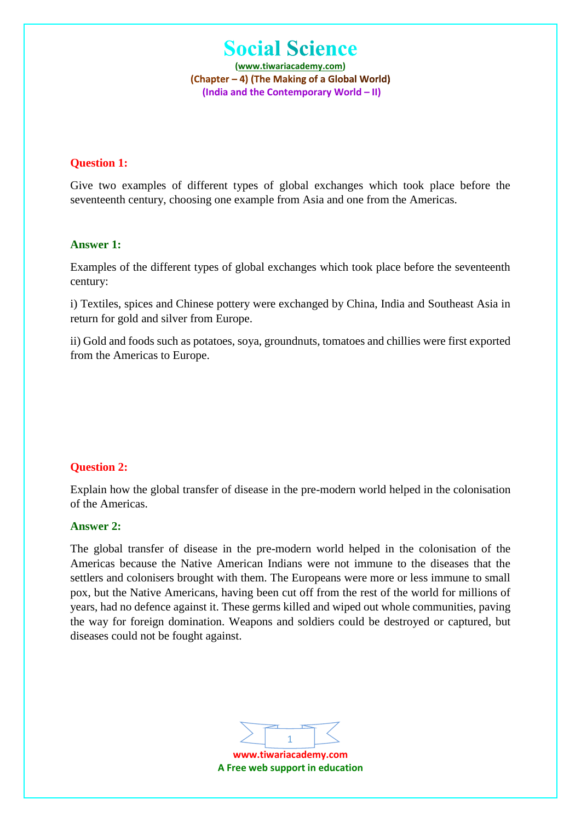**(www.tiwariacademy.com)** (Chapter – 4) (The Making of a Global World) **(India and the Contemporary World – II)**

#### **Question 1:**

Give two examples of different types of global exchanges which took place before the seventeenth century, choosing one example from Asia and one from the Americas.

#### **Answer 1:**

Examples of the different types of global exchanges which took place before the seventeenth century:

i) Textiles, spices and Chinese pottery were exchanged by China, India and Southeast Asia in return for gold and silver from Europe.

ii) Gold and foods such as potatoes, soya, groundnuts, tomatoes and chillies were first exported from the Americas to Europe.

# **Question 2:**

Explain how the global transfer of disease in the pre-modern world helped in the colonisation of the Americas.

#### **Answer 2:**

The global transfer of disease in the pre-modern world helped in the colonisation of the Americas because the Native American Indians were not immune to the diseases that the settlers and colonisers brought with them. The Europeans were more or less immune to small pox, but the Native Americans, having been cut off from the rest of the world for millions of years, had no defence against it. These germs killed and wiped out whole communities, paving the way for foreign domination. Weapons and soldiers could be destroyed or captured, but diseases could not be fought against.

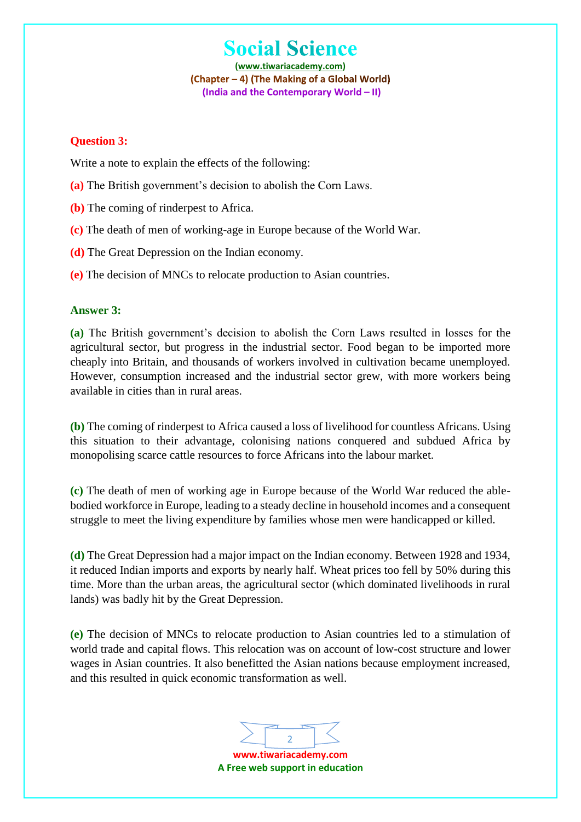**(www.tiwariacademy.com)** (Chapter - 4) (The Making of a Global World) **(India and the Contemporary World – II)**

#### **Question 3:**

Write a note to explain the effects of the following:

- **(a)** The British government's decision to abolish the Corn Laws.
- **(b)** The coming of rinderpest to Africa.
- **(c)** The death of men of working-age in Europe because of the World War.
- **(d)** The Great Depression on the Indian economy.
- **(e)** The decision of MNCs to relocate production to Asian countries.

## **Answer 3:**

**(a)** The British government's decision to abolish the Corn Laws resulted in losses for the agricultural sector, but progress in the industrial sector. Food began to be imported more cheaply into Britain, and thousands of workers involved in cultivation became unemployed. However, consumption increased and the industrial sector grew, with more workers being available in cities than in rural areas.

**(b)** The coming of rinderpest to Africa caused a loss of livelihood for countless Africans. Using this situation to their advantage, colonising nations conquered and subdued Africa by monopolising scarce cattle resources to force Africans into the labour market.

**(c)** The death of men of working age in Europe because of the World War reduced the ablebodied workforce in Europe, leading to a steady decline in household incomes and a consequent struggle to meet the living expenditure by families whose men were handicapped or killed.

**(d)** The Great Depression had a major impact on the Indian economy. Between 1928 and 1934, it reduced Indian imports and exports by nearly half. Wheat prices too fell by 50% during this time. More than the urban areas, the agricultural sector (which dominated livelihoods in rural lands) was badly hit by the Great Depression.

**(e)** The decision of MNCs to relocate production to Asian countries led to a stimulation of world trade and capital flows. This relocation was on account of low-cost structure and lower wages in Asian countries. It also benefitted the Asian nations because employment increased, and this resulted in quick economic transformation as well.

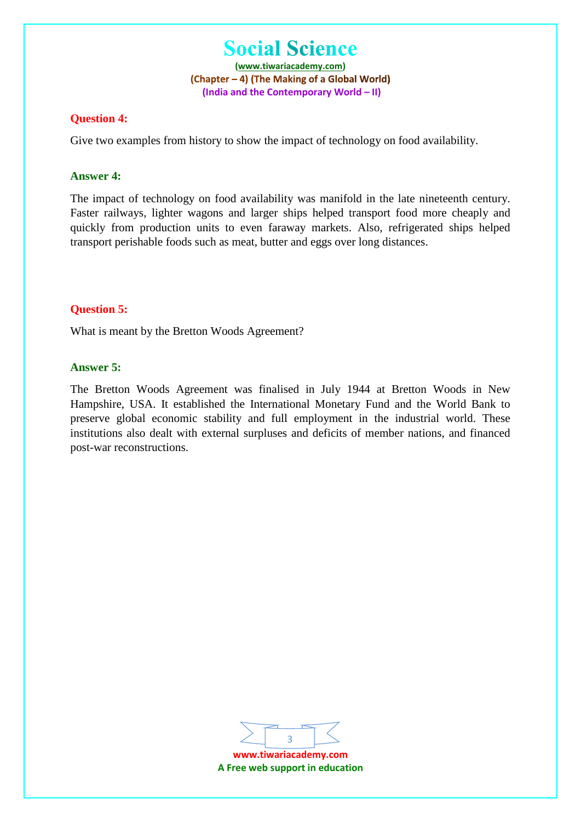**(www.tiwariacademy.com)** (Chapter – 4) (The Making of a Global World) **(India and the Contemporary World – II)**

#### **Question 4:**

Give two examples from history to show the impact of technology on food availability.

#### **Answer 4:**

The impact of technology on food availability was manifold in the late nineteenth century. Faster railways, lighter wagons and larger ships helped transport food more cheaply and quickly from production units to even faraway markets. Also, refrigerated ships helped transport perishable foods such as meat, butter and eggs over long distances.

#### **Question 5:**

What is meant by the Bretton Woods Agreement?

#### **Answer 5:**

The Bretton Woods Agreement was finalised in July 1944 at Bretton Woods in New Hampshire, USA. It established the International Monetary Fund and the World Bank to preserve global economic stability and full employment in the industrial world. These institutions also dealt with external surpluses and deficits of member nations, and financed post-war reconstructions.



**www.tiwariacademy.com A Free web support in education**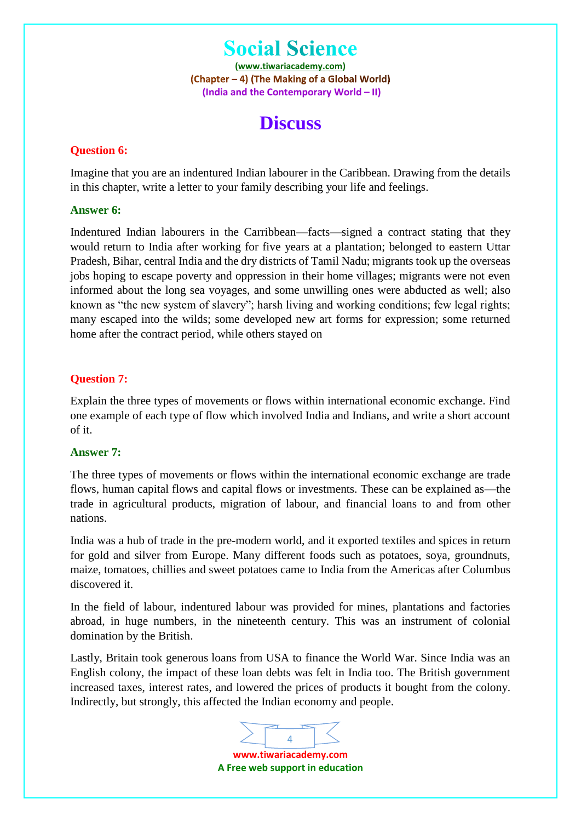**(www.tiwariacademy.com)** (Chapter – 4) (The Making of a Global World) **(India and the Contemporary World – II)**

# **Discuss**

#### **Question 6:**

Imagine that you are an indentured Indian labourer in the Caribbean. Drawing from the details in this chapter, write a letter to your family describing your life and feelings.

### **Answer 6:**

Indentured Indian labourers in the Carribbean—facts—signed a contract stating that they would return to India after working for five years at a plantation; belonged to eastern Uttar Pradesh, Bihar, central India and the dry districts of Tamil Nadu; migrants took up the overseas jobs hoping to escape poverty and oppression in their home villages; migrants were not even informed about the long sea voyages, and some unwilling ones were abducted as well; also known as "the new system of slavery"; harsh living and working conditions; few legal rights; many escaped into the wilds; some developed new art forms for expression; some returned home after the contract period, while others stayed on

## **Question 7:**

Explain the three types of movements or flows within international economic exchange. Find one example of each type of flow which involved India and Indians, and write a short account of it.

#### **Answer 7:**

The three types of movements or flows within the international economic exchange are trade flows, human capital flows and capital flows or investments. These can be explained as—the trade in agricultural products, migration of labour, and financial loans to and from other nations.

India was a hub of trade in the pre-modern world, and it exported textiles and spices in return for gold and silver from Europe. Many different foods such as potatoes, soya, groundnuts, maize, tomatoes, chillies and sweet potatoes came to India from the Americas after Columbus discovered it.

In the field of labour, indentured labour was provided for mines, plantations and factories abroad, in huge numbers, in the nineteenth century. This was an instrument of colonial domination by the British.

Lastly, Britain took generous loans from USA to finance the World War. Since India was an English colony, the impact of these loan debts was felt in India too. The British government increased taxes, interest rates, and lowered the prices of products it bought from the colony. Indirectly, but strongly, this affected the Indian economy and people.